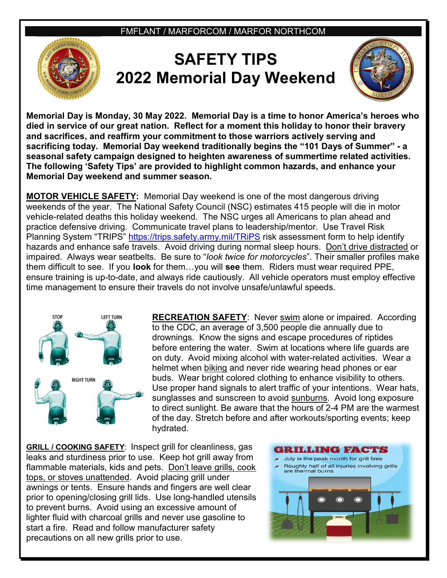FMFLANT / MARFORCOM / MARFOR NORTHCOM



## SAFETY TIPS 2022 Memorial Day Weekend



Memorial Day is Monday, 30 May 2022. Memorial Day is a time to honor America's heroes who died in service of our great nation. Reflect for a moment this holiday to honor their bravery and sacrifices, and reaffirm your commitment to those warriors actively serving and sacrificing today. Memorial Day weekend traditionally begins the "101 Days of Summer" - a seasonal safety campaign designed to heighten awareness of summertime related activities. The following 'Safety Tips' are provided to highlight common hazards, and enhance your Memorial Day weekend and summer season.

MOTOR VEHICLE SAFETY: Memorial Day weekend is one of the most dangerous driving weekends of the year. The National Safety Council (NSC) estimates 415 people will die in motor vehicle-related deaths this holiday weekend. The NSC urges all Americans to plan ahead and practice defensive driving. Communicate travel plans to leadership/mentor. Use Travel Risk Planning System "TRIPS" https://trips.safety.army.mil/TRiPS risk assessment form to help identify hazards and enhance safe travels. Avoid driving during normal sleep hours. Don't drive distracted or impaired. Always wear seatbelts. Be sure to "look twice for motorcycles". Their smaller profiles make them difficult to see. If you look for them...you will see them. Riders must wear required PPE, ensure training is up-to-date, and always ride cautiously. All vehicle operators must employ effective time management to ensure their travels do not involve unsafe/unlawful speeds.



RECREATION SAFETY: Never swim alone or impaired. According to the CDC, an average of 3,500 people die annually due to drownings. Know the signs and escape procedures of riptides before entering the water. Swim at locations where life guards are on duty. Avoid mixing alcohol with water-related activities. Wear a helmet when biking and never ride wearing head phones or ear buds. Wear bright colored clothing to enhance visibility to others. Use proper hand signals to alert traffic of your intentions. Wear hats, sunglasses and sunscreen to avoid sunburns. Avoid long exposure to direct sunlight. Be aware that the hours of 2-4 PM are the warmest of the day. Stretch before and after workouts/sporting events; keep hydrated.

GRILL / COOKING SAFETY: Inspect grill for cleanliness, gas leaks and sturdiness prior to use. Keep hot grill away from flammable materials, kids and pets. Don't leave grills, cook tops, or stoves unattended. Avoid placing grill under awnings or tents. Ensure hands and fingers are well clear prior to opening/closing grill lids. Use long-handled utensils to prevent burns. Avoid using an excessive amount of lighter fluid with charcoal grills and never use gasoline to start a fire. Read and follow manufacturer safety precautions on all new grills prior to use.